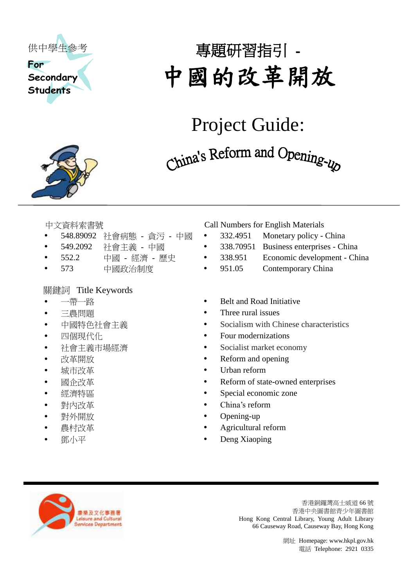

**Secondary Students**



# 專題研習指引 - 中國的改革開放

# Project Guide:

China's Reform and Opening-up

- 
- 
- 
- 

#### 關鍵詞 Title Keywords

- 
- 
- 
- 
- 
- 
- 
- 
- 
- 
- 
- 
- 

中文資料索書號 Call Numbers for English Materials

- 548.89092 社會病態 貪污 中國 332.4951 Monetary policy China
- 549.2092 社會主義 中國 338.70951 Business enterprises China
- 552.2 中國 經濟 歷史 338.951 Economic development China
- 573 中國政治制度 951.05 Contemporary China
- 一帶一路 Belt and Road Initiative
	- 三農問題 **Three rural issues**
- 中國特色社會主義 Socialism with Chinese characteristics
	- 四個現代化 **Four modernizations**
- 社會主義市場經濟 → Socialist market economy
- 改革開放 Reform and opening
- 城市改革 Urban reform
- 國企改革 Reform of state-owned enterprises
- 經濟特區 Special economic zone
- 對內改革 China's reform
	- 對外開放 Opening-up
	- **農村改革** Agricultural reform
	- **鄧小平 Deng Xiaoping**



香港銅鑼灣高士威道 66 號 香港中央圖書館青少年圖書館 Hong Kong Central Library, Young Adult Library 66 Causeway Road, Causeway Bay, Hong Kong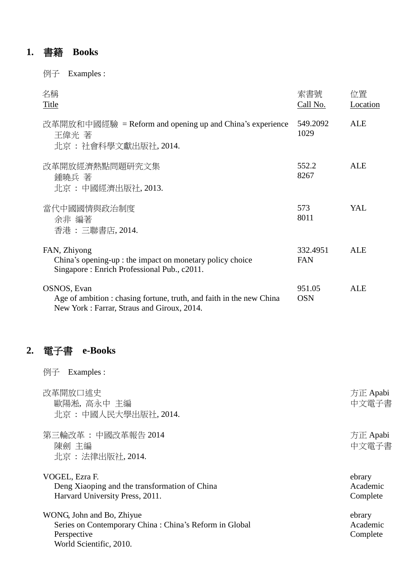### **1.** 書籍 **Books**

例子 Examples :

| 名稱<br><b>Title</b>                                                                                                                | 索書號<br>Call No.        | 位置<br>Location |
|-----------------------------------------------------------------------------------------------------------------------------------|------------------------|----------------|
| 改革開放和中國經驗 = Reform and opening up and China's experience<br>王偉光 著<br>北京 : 社會科學文獻出版社, 2014.                                        | 549.2092<br>1029       | <b>ALE</b>     |
| 改革開放經濟熱點問題研究文集<br>鍾曉兵 著<br>北京 : 中國經濟出版社, 2013.                                                                                    | 552.2<br>8267          | <b>ALE</b>     |
| 當代中國國情與政治制度<br>余非 編著<br>香港 : 三聯書店, 2014.                                                                                          | 573<br>8011            | YAL            |
| FAN, Zhiyong<br>China's opening-up : the impact on monetary policy choice<br>Singapore: Enrich Professional Pub., c2011.          | 332.4951<br><b>FAN</b> | <b>ALE</b>     |
| OSNOS, Evan<br>Age of ambition : chasing fortune, truth, and faith in the new China<br>New York: Farrar, Straus and Giroux, 2014. | 951.05<br><b>OSN</b>   | ALE            |

## **2.** 電子書 **e-Books**

例子 Examples :

| 改革開放口述史<br>歐陽淞, 高永中 主編<br>北京: 中國人民大學出版社, 2014.                                                                                 | 方正 Apabi<br>中文電子書              |
|--------------------------------------------------------------------------------------------------------------------------------|--------------------------------|
| 第三輪改革: 中國改革報告 2014<br>陳劍 主編<br>北京: 法律出版社, 2014.                                                                                | 方正 Apabi<br>中文電子書              |
| VOGEL, Ezra F.<br>Deng Xiaoping and the transformation of China<br>Harvard University Press, 2011.                             | ebrary<br>Academic<br>Complete |
| WONG, John and Bo, Zhiyue<br>Series on Contemporary China : China's Reform in Global<br>Perspective<br>World Scientific, 2010. | ebrary<br>Academic<br>Complete |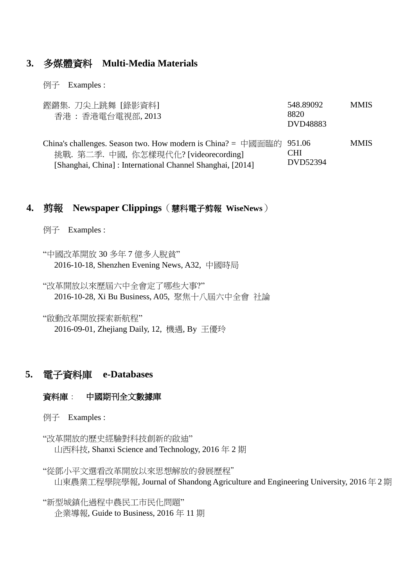#### **3.** 多媒體資料 **Multi-Media Materials**

例子 Examples :

| 鏗鏘集. 刀尖上跳舞 [錄影資料]<br>香港:香港電台電視部, 2013                                                                                                                                     | 548.89092<br>8820<br>DVD48883 | <b>MMIS</b> |
|---------------------------------------------------------------------------------------------------------------------------------------------------------------------------|-------------------------------|-------------|
| China's challenges. Season two. How modern is China? = 中國面臨的 951.06<br>挑戰. 第二季. 中國, 你怎樣現代化? [videorecording]<br>[Shanghai, China]: International Channel Shanghai, [2014] | CHI<br>DVD52394               | <b>MMIS</b> |

#### **4.** 剪報 **Newspaper Clippings**(慧科電子剪報 **WiseNews**)

例子 Examples :

"中國改革開放 30 多年 7 億多人脫貧" 2016-10-18, Shenzhen Evening News, A32, 中國時局

"改革開放以來歷屆六中全會定了哪些大事?" 2016-10-28, Xi Bu Business, A05, 聚焦十八屆六中全會 社論

"啟動改革開放探索新航程" 2016-09-01, Zhejiang Daily, 12, 機遇, By 王優玲

#### **5.** 電子資料庫 **e-Databases**

#### 資料庫: 中國期刊全文數據庫

例子 Examples :

"改革開放的歷史經驗對科技創新的啟迪" [山西科技](http://big5.oversea.cnki.net.ezproxy.hkpl.gov.hk/kns55/loginid.aspx?uid=&p=Navi%2FBridge.aspx%3FLinkType%3DBaseLink%26DBCode%3Dcjfd%26TableName%3DCJFDbaseinfo%26Field%3DBaseID%26Value%3DSXKJ), [Shanxi Science and Technology,](http://big5.oversea.cnki.net.ezproxy.hkpl.gov.hk/kns55/loginid.aspx?uid=&p=Navi%2FBridge.aspx%3FLinkType%3DBaseLink%26DBCode%3Dcjfd%26TableName%3DCJFDbaseinfo%26Field%3DBaseID%26Value%3DSXKJ) [2016](http://big5.oversea.cnki.net.ezproxy.hkpl.gov.hk/kns55/loginid.aspx?uid=&p=Navi%2FBridge.aspx%3FLinkType%3DIssueLink%26DBCode%3Dcjfd%26TableName%3DCJFDyearinfo%26ShowField%3Dcname%26Field%3DBaseID*year*issue%26Value%3DSXKJ*2016*02) 年 2 期

"從鄧小平文選看改革開放以來思想解放的發展歷程" [山東農業工程學院學報](http://big5.oversea.cnki.net.ezproxy.hkpl.gov.hk/kns55/loginid.aspx?uid=&p=Navi%2FBridge.aspx%3FLinkType%3DBaseLink%26DBCode%3Dcjfd%26TableName%3DCJFDbaseinfo%26Field%3DBaseID%26Value%3DSYNG), [Journal of Shandong Agriculture and Engineering University,](http://big5.oversea.cnki.net.ezproxy.hkpl.gov.hk/kns55/loginid.aspx?uid=&p=Navi%2FBridge.aspx%3FLinkType%3DBaseLink%26DBCode%3Dcjfd%26TableName%3DCJFDbaseinfo%26Field%3DBaseID%26Value%3DSYNG) [2016](http://big5.oversea.cnki.net.ezproxy.hkpl.gov.hk/kns55/loginid.aspx?uid=&p=Navi%2FBridge.aspx%3FLinkType%3DIssueLink%26DBCode%3Dcjfd%26TableName%3DCJFDyearinfo%26ShowField%3Dcname%26Field%3DBaseID*year*issue%26Value%3DSYNG*2016*02) 年 2 期

"新型城鎮化過程中農民工市民化問題" 企業導報, Guide to Business, 2016 年 11 期